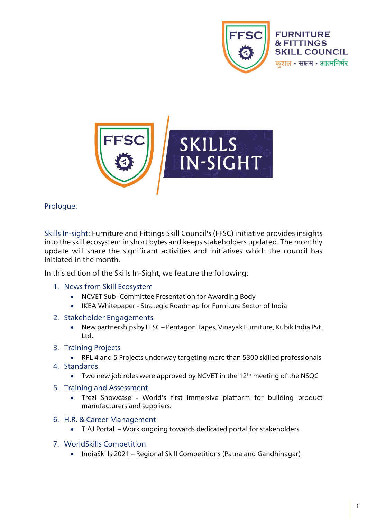



Prologue:

Skills In-sight: Furniture and Fittings Skill Council's (FFSC) initiative provides insights into the skill ecosystem in short bytes and keeps stakeholders updated. The monthly update will share the significant activities and initiatives which the council has initiated in the month.

In this edition of the Skills In-Sight, we feature the following:

- 1. News from Skill Ecosystem
	- NCVET Sub- Committee Presentation for Awarding Body
	- IKEA Whitepaper Strategic Roadmap for Furniture Sector of India
- 2. Stakeholder Engagements
	- New partnerships by FFSC Pentagon Tapes, Vinayak Furniture, Kubik India Pvt. Ltd.
- 3. Training Projects
	- RPL 4 and 5 Projects underway targeting more than 5300 skilled professionals
- 4. Standards
	- Two new job roles were approved by NCVET in the 12<sup>th</sup> meeting of the NSQC
- 5. Training and Assessment
	- Trezi Showcase World's first immersive platform for building product manufacturers and suppliers.
- 6. H.R. & Career Management
	- T:AJ Portal Work ongoing towards dedicated portal for stakeholders
- 7. WorldSkills Competition
	- IndiaSkills 2021 Regional Skill Competitions (Patna and Gandhinagar)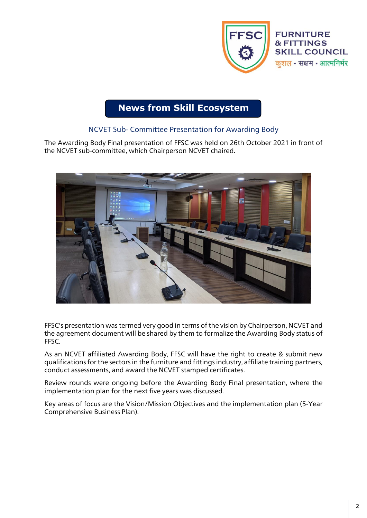

# **News from Skill Ecosystem**

## NCVET Sub- Committee Presentation for Awarding Body

The Awarding Body Final presentation of FFSC was held on 26th October 2021 in front of the NCVET sub-committee, which Chairperson NCVET chaired.



FFSC's presentation was termed very good in terms of the vision by Chairperson, NCVET and the agreement document will be shared by them to formalize the Awarding Body status of FFSC.

As an NCVET affiliated Awarding Body, FFSC will have the right to create & submit new qualifications for the sectors in the furniture and fittings industry, affiliate training partners, conduct assessments, and award the NCVET stamped certificates.

Review rounds were ongoing before the Awarding Body Final presentation, where the implementation plan for the next five years was discussed.

Key areas of focus are the Vision/Mission Objectives and the implementation plan (5-Year Comprehensive Business Plan).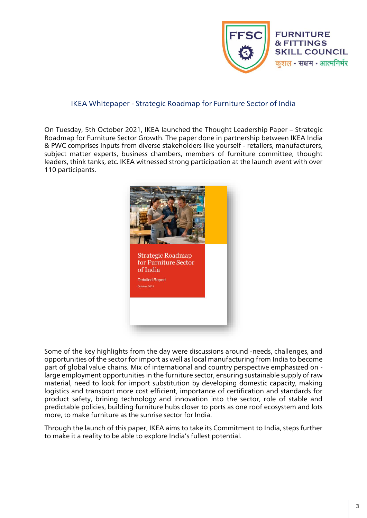

### IKEA Whitepaper - Strategic Roadmap for Furniture Sector of India

On Tuesday, 5th October 2021, IKEA launched the Thought Leadership Paper – Strategic Roadmap for Furniture Sector Growth. The paper done in partnership between IKEA India & PWC comprises inputs from diverse stakeholders like yourself - retailers, manufacturers, subject matter experts, business chambers, members of furniture committee, thought leaders, think tanks, etc. IKEA witnessed strong participation at the launch event with over 110 participants.



Some of the key highlights from the day were discussions around -needs, challenges, and opportunities of the sector for import as well as local manufacturing from India to become part of global value chains. Mix of international and country perspective emphasized on large employment opportunities in the furniture sector, ensuring sustainable supply of raw material, need to look for import substitution by developing domestic capacity, making logistics and transport more cost efficient, importance of certification and standards for product safety, brining technology and innovation into the sector, role of stable and predictable policies, building furniture hubs closer to ports as one roof ecosystem and lots more, to make furniture as the sunrise sector for India.

Through the launch of this paper, IKEA aims to take its Commitment to India, steps further to make it a reality to be able to explore India's fullest potential.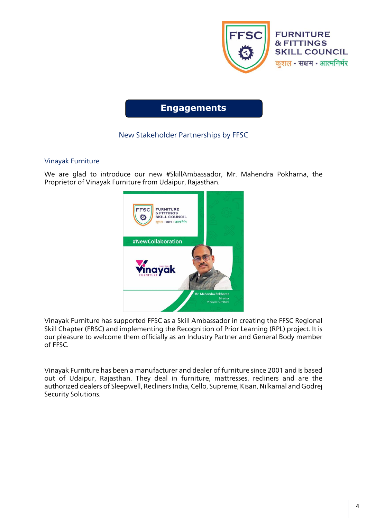

## **Engagements**

## New Stakeholder Partnerships by FFSC

### Vinayak Furniture

We are glad to introduce our new #SkillAmbassador, Mr. Mahendra Pokharna, the Proprietor of Vinayak Furniture from Udaipur, Rajasthan.



Vinayak Furniture has supported FFSC as a Skill Ambassador in creating the FFSC Regional Skill Chapter (FRSC) and implementing the Recognition of Prior Learning (RPL) project. It is our pleasure to welcome them officially as an Industry Partner and General Body member of FFSC.

Vinayak Furniture has been a manufacturer and dealer of furniture since 2001 and is based out of Udaipur, Rajasthan. They deal in furniture, mattresses, recliners and are the authorized dealers of Sleepwell, Recliners India, Cello, Supreme, Kisan, Nilkamal and Godrej Security Solutions.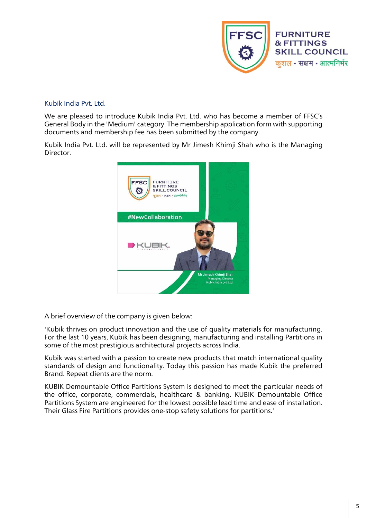

#### Kubik India Pvt. Ltd.

We are pleased to introduce Kubik India Pvt. Ltd. who has become a member of FFSC's General Body in the 'Medium' category. The membership application form with supporting documents and membership fee has been submitted by the company.

Kubik India Pvt. Ltd. will be represented by Mr Jimesh Khimji Shah who is the Managing Director.



A brief overview of the company is given below:

'Kubik thrives on product innovation and the use of quality materials for manufacturing. For the last 10 years, Kubik has been designing, manufacturing and installing Partitions in some of the most prestigious architectural projects across India.

Kubik was started with a passion to create new products that match international quality standards of design and functionality. Today this passion has made Kubik the preferred Brand. Repeat clients are the norm.

KUBIK Demountable Office Partitions System is designed to meet the particular needs of the office, corporate, commercials, healthcare & banking. KUBIK Demountable Office Partitions System are engineered for the lowest possible lead time and ease of installation. Their Glass Fire Partitions provides one-stop safety solutions for partitions.'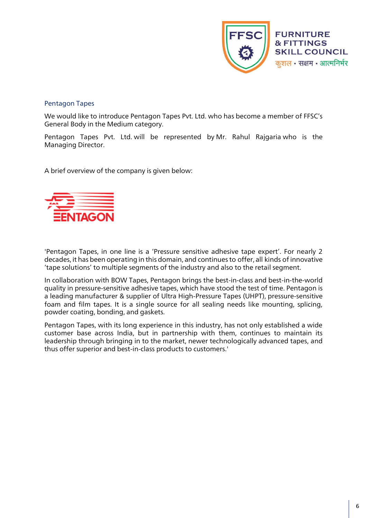

#### Pentagon Tapes

We would like to introduce Pentagon Tapes Pvt. Ltd. who has become a member of FFSC's General Body in the Medium category.

Pentagon Tapes Pvt. Ltd. will be represented by Mr. Rahul Rajgaria who is the Managing Director.

A brief overview of the company is given below:



'Pentagon Tapes, in one line is a 'Pressure sensitive adhesive tape expert'. For nearly 2 decades, it has been operating in this domain, and continues to offer, all kinds of innovative 'tape solutions' to multiple segments of the industry and also to the retail segment.

In collaboration with BOW Tapes, Pentagon brings the best-in-class and best-in-the-world quality in pressure-sensitive adhesive tapes, which have stood the test of time. Pentagon is a leading manufacturer & supplier of Ultra High-Pressure Tapes (UHPT), pressure-sensitive foam and film tapes. It is a single source for all sealing needs like mounting, splicing, powder coating, bonding, and gaskets.

Pentagon Tapes, with its long experience in this industry, has not only established a wide customer base across India, but in partnership with them, continues to maintain its leadership through bringing in to the market, newer technologically advanced tapes, and thus offer superior and best-in-class products to customers.'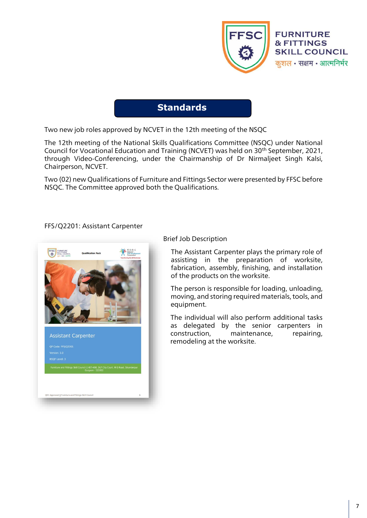

## **Standards**

Two new job roles approved by NCVET in the 12th meeting of the NSQC

The 12th meeting of the National Skills Qualifications Committee (NSQC) under National Council for Vocational Education and Training (NCVET) was held on 30th September, 2021, through Video-Conferencing, under the Chairmanship of Dr Nirmaljeet Singh Kalsi, Chairperson, NCVET.

Two (02) new Qualifications of Furniture and Fittings Sector were presented by FFSC before NSQC. The Committee approved both the Qualifications.

#### FFS/Q2201: Assistant Carpenter



### Brief Job Description

The Assistant Carpenter plays the primary role of assisting in the preparation of worksite, fabrication, assembly, finishing, and installation of the products on the worksite.

The person is responsible for loading, unloading, moving, and storing required materials, tools, and equipment.

The individual will also perform additional tasks as delegated by the senior carpenters in construction, maintenance, repairing, remodeling at the worksite.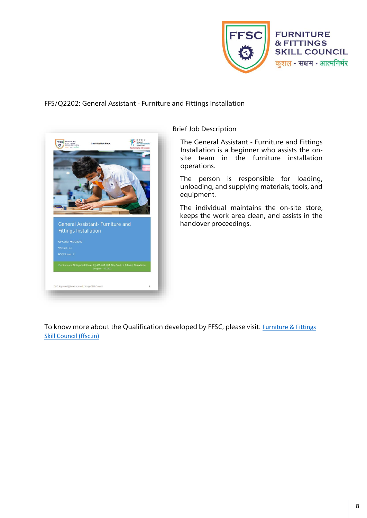

#### FFS/Q2202: General Assistant - Furniture and Fittings Installation



#### Brief Job Description

The General Assistant - Furniture and Fittings Installation is a beginner who assists the onsite team in the furniture installation operations.

The person is responsible for loading, unloading, and supplying materials, tools, and equipment.

The individual maintains the on-site store, keeps the work area clean, and assists in the handover proceedings.

To know more about the Qualification developed by FFSC, please visit: [Furniture & Fittings](https://ffsc.in/resources/nos/)  [Skill Council \(ffsc.in\)](https://ffsc.in/resources/nos/)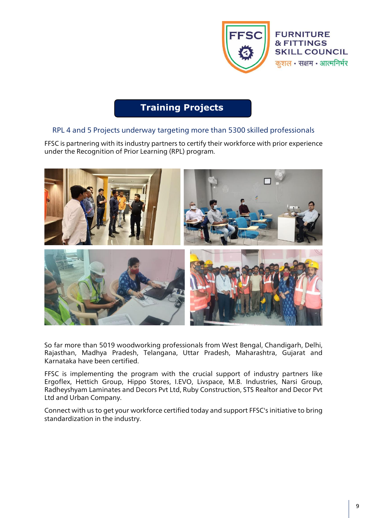

# **Training Projects**

## RPL 4 and 5 Projects underway targeting more than 5300 skilled professionals

FFSC is partnering with its industry partners to certify their workforce with prior experience under the Recognition of Prior Learning (RPL) program.



So far more than 5019 woodworking professionals from West Bengal, Chandigarh, Delhi, Rajasthan, Madhya Pradesh, Telangana, Uttar Pradesh, Maharashtra, Gujarat and Karnataka have been certified.

FFSC is implementing the program with the crucial support of industry partners like Ergoflex, Hettich Group, Hippo Stores, I.EVO, Livspace, M.B. Industries, Narsi Group, Radheyshyam Laminates and Decors Pvt Ltd, Ruby Construction, STS Realtor and Decor Pvt Ltd and Urban Company.

Connect with us to get your workforce certified today and support FFSC's initiative to bring standardization in the industry.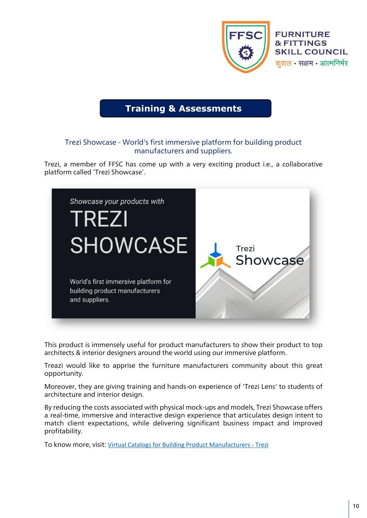

## **Training & Assessments**

### Trezi Showcase - World's first immersive platform for building product manufacturers and suppliers.

Trezi, a member of FFSC has come up with a very exciting product i.e., a collaborative platform called 'Trezi Showcase'.



This product is immensely useful for product manufacturers to show their product to top architects & interior designers around the world using our immersive platform.

Treazi would like to apprise the furniture manufacturers community about this great opportunity.

Moreover, they are giving training and hands-on experience of 'Trezi Lens' to students of architecture and interior design.

By reducing the costs associated with physical mock-ups and models, Trezi Showcase offers a real-time, immersive and interactive design experience that articulates design intent to match client expectations, while delivering significant business impact and improved profitability.

To know more, visit: [Virtual Catalogs for Building Product Manufacturers -](https://trezi.com/showcase/) Trezi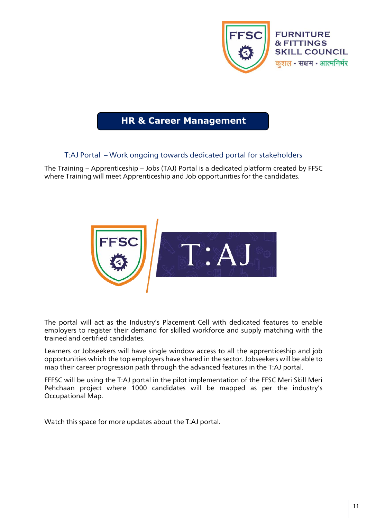

## **HR & Career Management**

## T:AJ Portal – Work ongoing towards dedicated portal for stakeholders

The Training – Apprenticeship – Jobs (TAJ) Portal is a dedicated platform created by FFSC where Training will meet Apprenticeship and Job opportunities for the candidates.



The portal will act as the Industry's Placement Cell with dedicated features to enable employers to register their demand for skilled workforce and supply matching with the trained and certified candidates.

Learners or Jobseekers will have single window access to all the apprenticeship and job opportunities which the top employers have shared in the sector. Jobseekers will be able to map their career progression path through the advanced features in the T:AJ portal.

FFFSC will be using the T:AJ portal in the pilot implementation of the FFSC Meri Skill Meri Pehchaan project where 1000 candidates will be mapped as per the industry's Occupational Map.

Watch this space for more updates about the T:AJ portal.